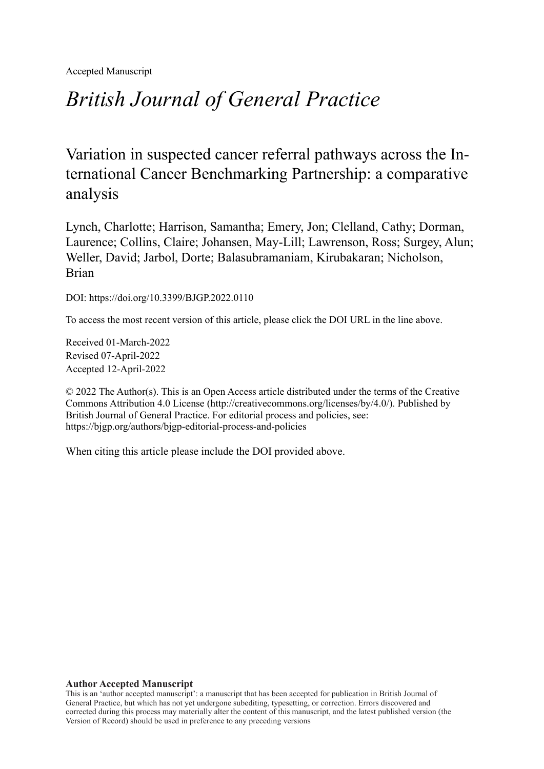Accepted Manuscript

# *British Journal of General Practice*

Variation in suspected cancer referral pathways across the International Cancer Benchmarking Partnership: a comparative analysis

Lynch, Charlotte; Harrison, Samantha; Emery, Jon; Clelland, Cathy; Dorman, Laurence; Collins, Claire; Johansen, May-Lill; Lawrenson, Ross; Surgey, Alun; Weller, David; Jarbol, Dorte; Balasubramaniam, Kirubakaran; Nicholson, Brian

DOI: https://doi.org/10.3399/BJGP.2022.0110

To access the most recent version of this article, please click the DOI URL in the line above.

Received 01-March-2022 Revised 07-April-2022 Accepted 12-April-2022

© 2022 The Author(s). This is an Open Access article distributed under the terms of the Creative Commons Attribution 4.0 License [\(http://creativecommons.org/licenses/by/4.0/](http://creativecommons.org/licenses/by/4.0/)). Published by British Journal of General Practice. For editorial process and policies, see: <https://bjgp.org/authors/bjgp-editorial-process-and-policies>

When citing this article please include the DOI provided above.

#### **Author Accepted Manuscript**

This is an 'author accepted manuscript': a manuscript that has been accepted for publication in British Journal of General Practice, but which has not yet undergone subediting, typesetting, or correction. Errors discovered and corrected during this process may materially alter the content of this manuscript, and the latest published version (the Version of Record) should be used in preference to any preceding versions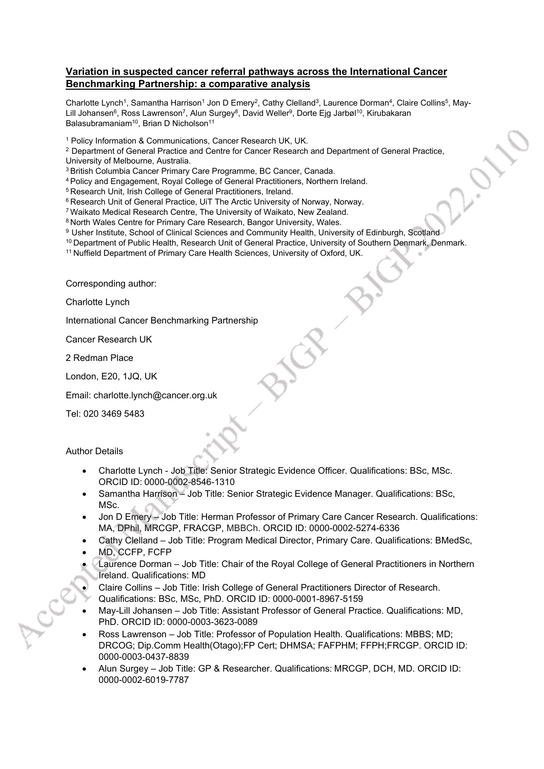#### **Variation in suspected cancer referral pathways across the International Cancer Benchmarking Partnership: a comparative analysis**

Charlotte Lynch<sup>1</sup>, Samantha Harrison<sup>1</sup> Jon D Emery<sup>2</sup>, Cathy Clelland<sup>3</sup>, Laurence Dorman<sup>4</sup>, Claire Collins<sup>5</sup>, May-Lill Johansen<sup>6</sup>, Ross Lawrenson<sup>7</sup>, Alun Surgey<sup>8</sup>, David Weller<sup>9</sup>, Dorte Ejg Jarbøl<sup>10</sup>, Kirubakaran Balasubramaniam<sup>10</sup>, Brian D Nicholson<sup>11</sup>

1 Policy Information & Communications, Cancer Research UK, UK.

<sup>2</sup> Department of General Practice and Centre for Cancer Research and Department of General Practice, University of Melbourne, Australia.

<sup>3</sup>British Columbia Cancer Primary Care Programme, BC Cancer, Canada.

<sup>4</sup>Policy and Engagement, Royal College of General Practitioners, Northern Ireland.

<sup>5</sup> Research Unit, Irish College of General Practitioners, Ireland.

<sup>6</sup> Research Unit of General Practice, UiT The Arctic University of Norway, Norway.

<sup>7</sup>Waikato Medical Research Centre, The University of Waikato, New Zealand.

8 North Wales Centre for Primary Care Research, Bangor University, Wales.

9 Usher Institute, School of Clinical Sciences and Community Health, University of Edinburgh, Scotland

10 Department of Public Health, Research Unit of General Practice, University of Southern Denmark, Denmark.

<sup>11</sup> Nuffield Department of Primary Care Health Sciences, University of Oxford, UK.

Corresponding author:

Charlotte Lynch

International Cancer Benchmarking Partnership

Cancer Research UK

2 Redman Place

London, E20, 1JQ, UK

Email: charlotte.lynch@cancer.org.uk

Tel: 020 3469 5483

Author Details

- Charlotte Lynch Job Title: Senior Strategic Evidence Officer. Qualifications: BSc, MSc. ORCID ID: 0000-0002-8546-1310
- Samantha Harrison Job Title: Senior Strategic Evidence Manager. Qualifications: BSc, MSc.
- Jon D Emery Job Title: Herman Professor of Primary Care Cancer Research. Qualifications: MA, DPhil, MRCGP, FRACGP, MBBCh. ORCID ID: 0000-0002-5274-6336
- Cathy Clelland Job Title: Program Medical Director, Primary Care. Qualifications: BMedSc,
- MD, CCFP, FCFP
- Laurence Dorman Job Title: Chair of the Royal College of General Practitioners in Northern Ireland. Qualifications: MD
- Claire Collins Job Title: Irish College of General Practitioners Director of Research.
- Qualifications: BSc, MSc, PhD. ORCID ID: 0000-0001-8967-5159
- May-Lill Johansen Job Title: Assistant Professor of General Practice. Qualifications: MD, PhD. ORCID ID: 0000-0003-3623-0089
- Ross Lawrenson Job Title: Professor of Population Health. Qualifications: MBBS; MD; DRCOG; Dip.Comm Health(Otago);FP Cert; DHMSA; FAFPHM; FFPH;FRCGP. ORCID ID: 0000-0003-0437-8839
- Alun Surgey Job Title: GP & Researcher. Qualifications: MRCGP, DCH, MD. ORCID ID: 0000-0002-6019-7787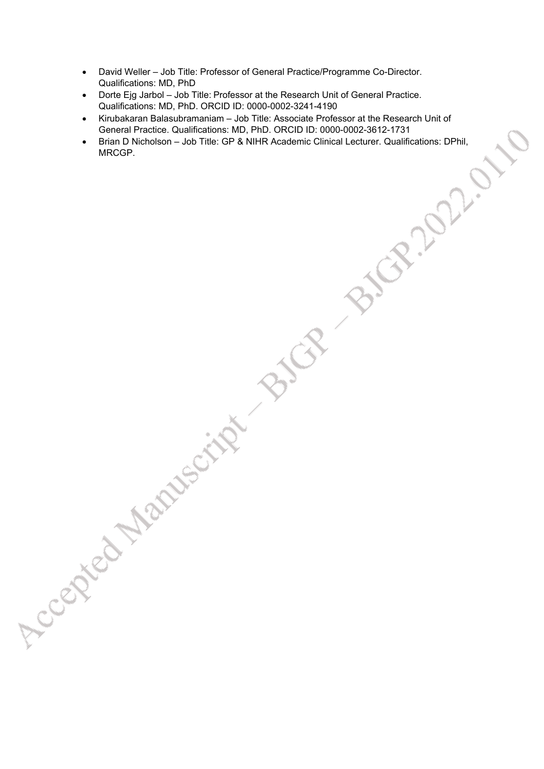- David Weller Job Title: Professor of General Practice/Programme Co-Director. Qualifications: MD, PhD
- Dorte Ejg Jarbol Job Title: Professor at the Research Unit of General Practice. Qualifications: MD, PhD. ORCID ID: 0000-0002-3241-4190

Accepted Manuscript BIC

- Kirubakaran Balasubramaniam Job Title: Associate Professor at the Research Unit of General Practice. Qualifications: MD, PhD. ORCID ID: 0000-0002-3612-1731
- Brian D Nicholson Job Title: GP & NIHR Academic Clinical Lecturer. Qualifications: DPhil,<br>MRCGP. MRCGP.

 $\mathcal{R}^{\prime}$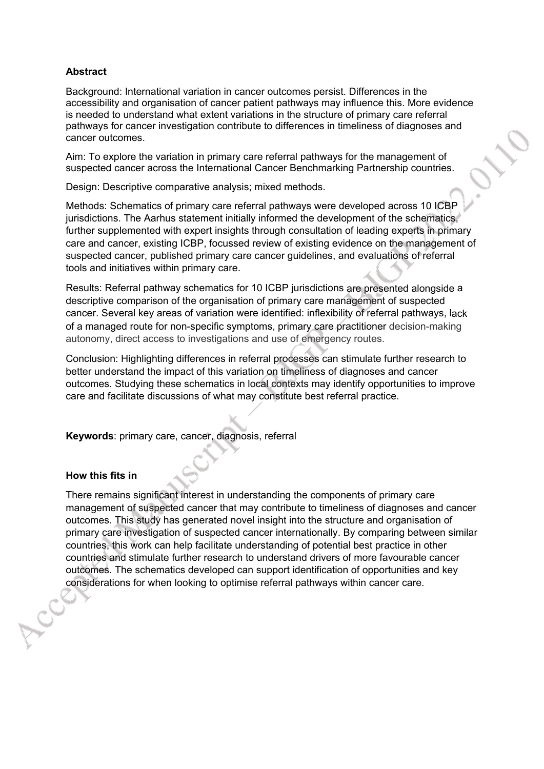#### **Abstract**

Background: International variation in cancer outcomes persist. Differences in the accessibility and organisation of cancer patient pathways may influence this. More evidence is needed to understand what extent variations in the structure of primary care referral pathways for cancer investigation contribute to differences in timeliness of diagnoses and cancer outcomes.

Aim: To explore the variation in primary care referral pathways for the management of suspected cancer across the International Cancer Benchmarking Partnership countries.

Design: Descriptive comparative analysis; mixed methods.

Methods: Schematics of primary care referral pathways were developed across 10 ICBP jurisdictions. The Aarhus statement initially informed the development of the schematics, further supplemented with expert insights through consultation of leading experts in primary care and cancer, existing ICBP, focussed review of existing evidence on the management of suspected cancer, published primary care cancer guidelines, and evaluations of referral tools and initiatives within primary care.

Results: Referral pathway schematics for 10 ICBP jurisdictions are presented alongside a descriptive comparison of the organisation of primary care management of suspected cancer. Several key areas of variation were identified: inflexibility of referral pathways, lack of a managed route for non-specific symptoms, primary care practitioner decision-making autonomy, direct access to investigations and use of emergency routes.

Conclusion: Highlighting differences in referral processes can stimulate further research to better understand the impact of this variation on timeliness of diagnoses and cancer outcomes. Studying these schematics in local contexts may identify opportunities to improve care and facilitate discussions of what may constitute best referral practice.

**Keywords**: primary care, cancer, diagnosis, referral

#### **How this fits in**

There remains significant interest in understanding the components of primary care management of suspected cancer that may contribute to timeliness of diagnoses and cancer outcomes. This study has generated novel insight into the structure and organisation of primary care investigation of suspected cancer internationally. By comparing between similar countries, this work can help facilitate understanding of potential best practice in other countries and stimulate further research to understand drivers of more favourable cancer outcomes. The schematics developed can support identification of opportunities and key considerations for when looking to optimise referral pathways within cancer care.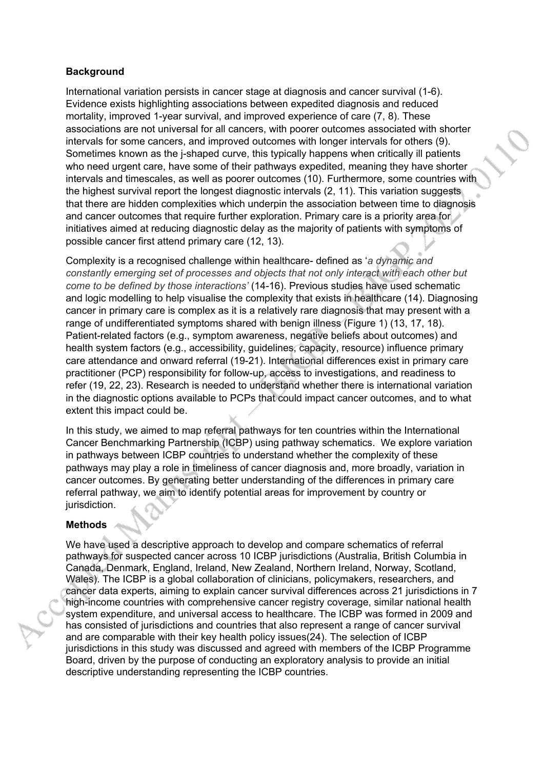#### **Background**

International variation persists in cancer stage at diagnosis and cancer survival (1-6). Evidence exists highlighting associations between expedited diagnosis and reduced mortality, improved 1-year survival, and improved experience of care (7, 8). These associations are not universal for all cancers, with poorer outcomes associated with shorter intervals for some cancers, and improved outcomes with longer intervals for others (9). Sometimes known as the j-shaped curve, this typically happens when critically ill patients who need urgent care, have some of their pathways expedited, meaning they have shorter intervals and timescales, as well as poorer outcomes (10). Furthermore, some countries with the highest survival report the longest diagnostic intervals (2, 11). This variation suggests that there are hidden complexities which underpin the association between time to diagnosis and cancer outcomes that require further exploration. Primary care is a priority area for initiatives aimed at reducing diagnostic delay as the majority of patients with symptoms of possible cancer first attend primary care (12, 13).

Complexity is a recognised challenge within healthcare- defined as '*a dynamic and constantly emerging set of processes and objects that not only interact with each other but come to be defined by those interactions'* (14-16). Previous studies have used schematic and logic modelling to help visualise the complexity that exists in healthcare (14). Diagnosing cancer in primary care is complex as it is a relatively rare diagnosis that may present with a range of undifferentiated symptoms shared with benign illness (Figure 1) (13, 17, 18). Patient-related factors (e.g., symptom awareness, negative beliefs about outcomes) and health system factors (e.g., accessibility, guidelines, capacity, resource) influence primary care attendance and onward referral (19-21). International differences exist in primary care practitioner (PCP) responsibility for follow-up, access to investigations, and readiness to refer (19, 22, 23). Research is needed to understand whether there is international variation in the diagnostic options available to PCPs that could impact cancer outcomes, and to what extent this impact could be.

In this study, we aimed to map referral pathways for ten countries within the International Cancer Benchmarking Partnership (ICBP) using pathway schematics. We explore variation in pathways between ICBP countries to understand whether the complexity of these pathways may play a role in timeliness of cancer diagnosis and, more broadly, variation in cancer outcomes. By generating better understanding of the differences in primary care referral pathway, we aim to identify potential areas for improvement by country or jurisdiction.

#### **Methods**

We have used a descriptive approach to develop and compare schematics of referral pathways for suspected cancer across 10 ICBP jurisdictions (Australia, British Columbia in Canada, Denmark, England, Ireland, New Zealand, Northern Ireland, Norway, Scotland, Wales). The ICBP is a global collaboration of clinicians, policymakers, researchers, and cancer data experts, aiming to explain cancer survival differences across 21 jurisdictions in 7 high-income countries with comprehensive cancer registry coverage, similar national health system expenditure, and universal access to healthcare. The ICBP was formed in 2009 and has consisted of jurisdictions and countries that also represent a range of cancer survival and are comparable with their key health policy issues(24). The selection of ICBP jurisdictions in this study was discussed and agreed with members of the ICBP Programme Board, driven by the purpose of conducting an exploratory analysis to provide an initial descriptive understanding representing the ICBP countries.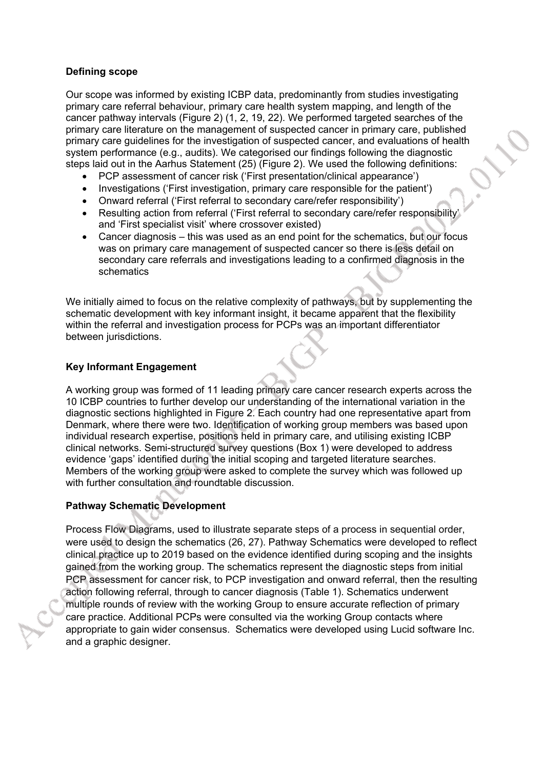#### **Defining scope**

Our scope was informed by existing ICBP data, predominantly from studies investigating primary care referral behaviour, primary care health system mapping, and length of the cancer pathway intervals (Figure 2) (1, 2, 19, 22). We performed targeted searches of the primary care literature on the management of suspected cancer in primary care, published primary care guidelines for the investigation of suspected cancer, and evaluations of health system performance (e.g., audits). We categorised our findings following the diagnostic steps laid out in the Aarhus Statement (25) (Figure 2). We used the following definitions:

- PCP assessment of cancer risk ('First presentation/clinical appearance')
- Investigations ('First investigation, primary care responsible for the patient')
- Onward referral ('First referral to secondary care/refer responsibility')
- Resulting action from referral ('First referral to secondary care/refer responsibility' and 'First specialist visit' where crossover existed)
- Cancer diagnosis this was used as an end point for the schematics, but our focus was on primary care management of suspected cancer so there is less detail on secondary care referrals and investigations leading to a confirmed diagnosis in the schematics

We initially aimed to focus on the relative complexity of pathways, but by supplementing the schematic development with key informant insight, it became apparent that the flexibility within the referral and investigation process for PCPs was an important differentiator between jurisdictions.

#### **Key Informant Engagement**

A working group was formed of 11 leading primary care cancer research experts across the 10 ICBP countries to further develop our understanding of the international variation in the diagnostic sections highlighted in Figure 2. Each country had one representative apart from Denmark, where there were two. Identification of working group members was based upon individual research expertise, positions held in primary care, and utilising existing ICBP clinical networks. Semi-structured survey questions (Box 1) were developed to address evidence 'gaps' identified during the initial scoping and targeted literature searches. Members of the working group were asked to complete the survey which was followed up with further consultation and roundtable discussion.

#### **Pathway Schematic Development**

Process Flow Diagrams, used to illustrate separate steps of a process in sequential order, were used to design the schematics (26, 27). Pathway Schematics were developed to reflect clinical practice up to 2019 based on the evidence identified during scoping and the insights gained from the working group. The schematics represent the diagnostic steps from initial PCP assessment for cancer risk, to PCP investigation and onward referral, then the resulting action following referral, through to cancer diagnosis (Table 1). Schematics underwent multiple rounds of review with the working Group to ensure accurate reflection of primary care practice. Additional PCPs were consulted via the working Group contacts where appropriate to gain wider consensus. Schematics were developed using Lucid software Inc. and a graphic designer.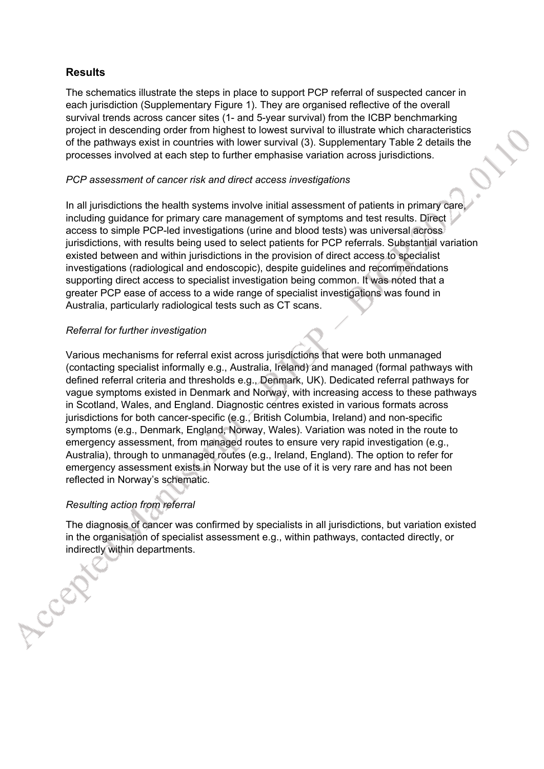## **Results**

The schematics illustrate the steps in place to support PCP referral of suspected cancer in each jurisdiction (Supplementary Figure 1). They are organised reflective of the overall survival trends across cancer sites (1- and 5-year survival) from the ICBP benchmarking project in descending order from highest to lowest survival to illustrate which characteristics of the pathways exist in countries with lower survival (3). Supplementary Table 2 details the processes involved at each step to further emphasise variation across jurisdictions.

#### *PCP assessment of cancer risk and direct access investigations*

In all jurisdictions the health systems involve initial assessment of patients in primary care, including guidance for primary care management of symptoms and test results. Direct access to simple PCP-led investigations (urine and blood tests) was universal across jurisdictions, with results being used to select patients for PCP referrals. Substantial variation existed between and within jurisdictions in the provision of direct access to specialist investigations (radiological and endoscopic), despite guidelines and recommendations supporting direct access to specialist investigation being common. It was noted that a greater PCP ease of access to a wide range of specialist investigations was found in Australia, particularly radiological tests such as CT scans.

#### *Referral for further investigation*

Various mechanisms for referral exist across jurisdictions that were both unmanaged (contacting specialist informally e.g., Australia, Ireland) and managed (formal pathways with defined referral criteria and thresholds e.g., Denmark, UK). Dedicated referral pathways for vague symptoms existed in Denmark and Norway, with increasing access to these pathways in Scotland, Wales, and England. Diagnostic centres existed in various formats across jurisdictions for both cancer-specific (e.g., British Columbia, Ireland) and non-specific symptoms (e.g., Denmark, England, Norway, Wales). Variation was noted in the route to emergency assessment, from managed routes to ensure very rapid investigation (e.g., Australia), through to unmanaged routes (e.g., Ireland, England). The option to refer for emergency assessment exists in Norway but the use of it is very rare and has not been reflected in Norway's schematic.

#### *Resulting action from referral*

LCCET

The diagnosis of cancer was confirmed by specialists in all jurisdictions, but variation existed in the organisation of specialist assessment e.g., within pathways, contacted directly, or indirectly within departments.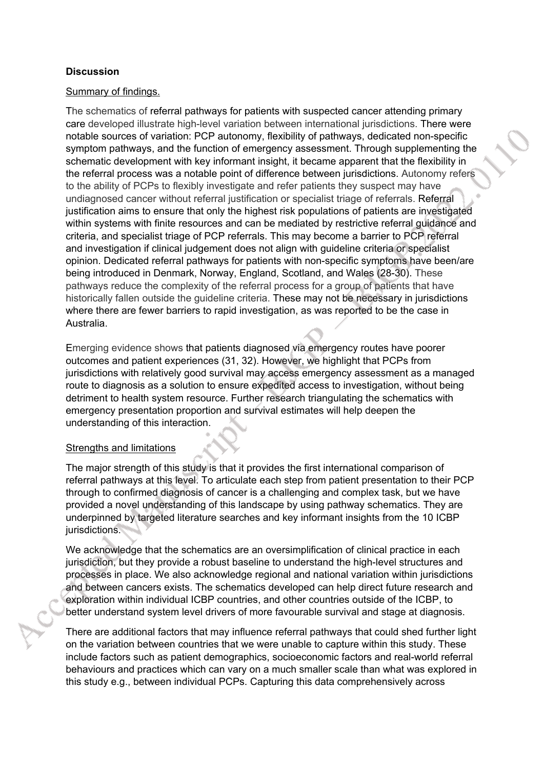## **Discussion**

#### Summary of findings.

The schematics of referral pathways for patients with suspected cancer attending primary care developed illustrate high-level variation between international jurisdictions. There were notable sources of variation: PCP autonomy, flexibility of pathways, dedicated non-specific symptom pathways, and the function of emergency assessment. Through supplementing the schematic development with key informant insight, it became apparent that the flexibility in the referral process was a notable point of difference between jurisdictions. Autonomy refers to the ability of PCPs to flexibly investigate and refer patients they suspect may have undiagnosed cancer without referral justification or specialist triage of referrals. Referral justification aims to ensure that only the highest risk populations of patients are investigated within systems with finite resources and can be mediated by restrictive referral guidance and criteria, and specialist triage of PCP referrals. This may become a barrier to PCP referral and investigation if clinical judgement does not align with guideline criteria or specialist opinion. Dedicated referral pathways for patients with non-specific symptoms have been/are being introduced in Denmark, Norway, England, Scotland, and Wales (28-30). These pathways reduce the complexity of the referral process for a group of patients that have historically fallen outside the guideline criteria. These may not be necessary in jurisdictions where there are fewer barriers to rapid investigation, as was reported to be the case in Australia.

Emerging evidence shows that patients diagnosed via emergency routes have poorer outcomes and patient experiences (31, 32). However, we highlight that PCPs from jurisdictions with relatively good survival may access emergency assessment as a managed route to diagnosis as a solution to ensure expedited access to investigation, without being detriment to health system resource. Further research triangulating the schematics with emergency presentation proportion and survival estimates will help deepen the understanding of this interaction.

#### Strengths and limitations

The major strength of this study is that it provides the first international comparison of referral pathways at this level. To articulate each step from patient presentation to their PCP through to confirmed diagnosis of cancer is a challenging and complex task, but we have provided a novel understanding of this landscape by using pathway schematics. They are underpinned by targeted literature searches and key informant insights from the 10 ICBP jurisdictions.

We acknowledge that the schematics are an oversimplification of clinical practice in each jurisdiction, but they provide a robust baseline to understand the high-level structures and processes in place. We also acknowledge regional and national variation within jurisdictions and between cancers exists. The schematics developed can help direct future research and exploration within individual ICBP countries, and other countries outside of the ICBP, to better understand system level drivers of more favourable survival and stage at diagnosis.

There are additional factors that may influence referral pathways that could shed further light on the variation between countries that we were unable to capture within this study. These include factors such as patient demographics, socioeconomic factors and real-world referral behaviours and practices which can vary on a much smaller scale than what was explored in this study e.g., between individual PCPs. Capturing this data comprehensively across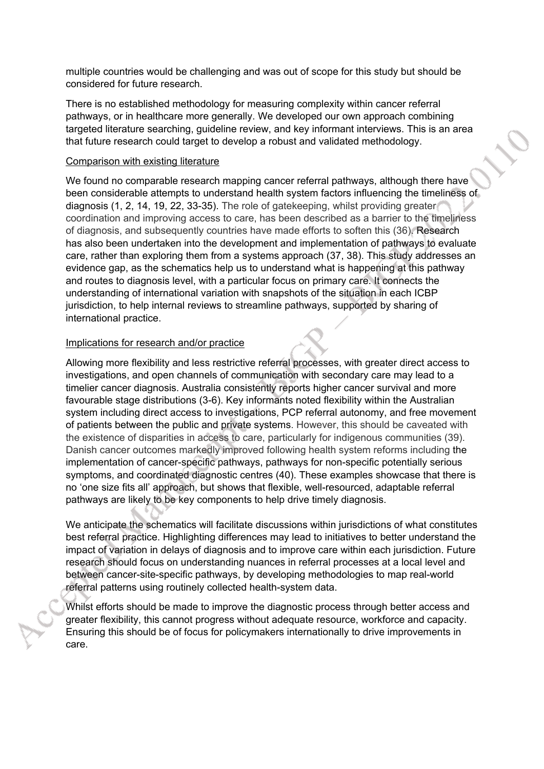multiple countries would be challenging and was out of scope for this study but should be considered for future research.

There is no established methodology for measuring complexity within cancer referral pathways, or in healthcare more generally. We developed our own approach combining targeted literature searching, guideline review, and key informant interviews. This is an area that future research could target to develop a robust and validated methodology.

#### Comparison with existing literature

We found no comparable research mapping cancer referral pathways, although there have been considerable attempts to understand health system factors influencing the timeliness of diagnosis (1, 2, 14, 19, 22, 33-35). The role of gatekeeping, whilst providing greater coordination and improving access to care, has been described as a barrier to the timeliness of diagnosis, and subsequently countries have made efforts to soften this (36). Research has also been undertaken into the development and implementation of pathways to evaluate care, rather than exploring them from a systems approach (37, 38). This study addresses an evidence gap, as the schematics help us to understand what is happening at this pathway and routes to diagnosis level, with a particular focus on primary care. It connects the understanding of international variation with snapshots of the situation in each ICBP jurisdiction, to help internal reviews to streamline pathways, supported by sharing of international practice.

#### Implications for research and/or practice

Allowing more flexibility and less restrictive referral processes, with greater direct access to investigations, and open channels of communication with secondary care may lead to a timelier cancer diagnosis. Australia consistently reports higher cancer survival and more favourable stage distributions (3-6). Key informants noted flexibility within the Australian system including direct access to investigations, PCP referral autonomy, and free movement of patients between the public and private systems. However, this should be caveated with the existence of disparities in access to care, particularly for indigenous communities (39). Danish cancer outcomes markedly improved following health system reforms including the implementation of cancer-specific pathways, pathways for non-specific potentially serious symptoms, and coordinated diagnostic centres (40). These examples showcase that there is no 'one size fits all' approach, but shows that flexible, well-resourced, adaptable referral pathways are likely to be key components to help drive timely diagnosis.

We anticipate the schematics will facilitate discussions within jurisdictions of what constitutes best referral practice. Highlighting differences may lead to initiatives to better understand the impact of variation in delays of diagnosis and to improve care within each jurisdiction. Future research should focus on understanding nuances in referral processes at a local level and between cancer-site-specific pathways, by developing methodologies to map real-world referral patterns using routinely collected health-system data.

Whilst efforts should be made to improve the diagnostic process through better access and greater flexibility, this cannot progress without adequate resource, workforce and capacity. Ensuring this should be of focus for policymakers internationally to drive improvements in care.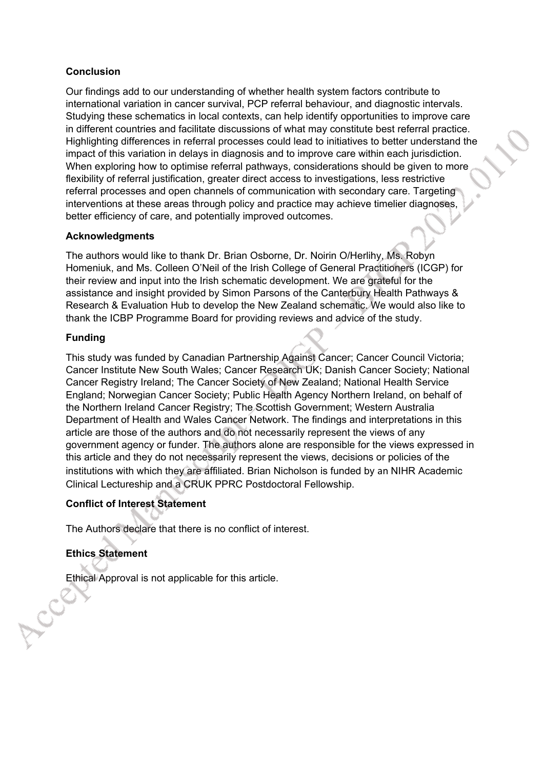## **Conclusion**

Our findings add to our understanding of whether health system factors contribute to international variation in cancer survival, PCP referral behaviour, and diagnostic intervals. Studying these schematics in local contexts, can help identify opportunities to improve care in different countries and facilitate discussions of what may constitute best referral practice. Highlighting differences in referral processes could lead to initiatives to better understand the impact of this variation in delays in diagnosis and to improve care within each jurisdiction. When exploring how to optimise referral pathways, considerations should be given to more flexibility of referral justification, greater direct access to investigations, less restrictive referral processes and open channels of communication with secondary care. Targeting interventions at these areas through policy and practice may achieve timelier diagnoses, better efficiency of care, and potentially improved outcomes.

## **Acknowledgments**

The authors would like to thank Dr. Brian Osborne, Dr. Noirin O/Herlihy, Ms. Robyn Homeniuk, and Ms. Colleen O'Neil of the Irish College of General Practitioners (ICGP) for their review and input into the Irish schematic development. We are grateful for the assistance and insight provided by Simon Parsons of the Canterbury Health Pathways & Research & Evaluation Hub to develop the New Zealand schematic. We would also like to thank the ICBP Programme Board for providing reviews and advice of the study.

## **Funding**

This study was funded by Canadian Partnership Against Cancer; Cancer Council Victoria; Cancer Institute New South Wales; Cancer Research UK; Danish Cancer Society; National Cancer Registry Ireland; The Cancer Society of New Zealand; National Health Service England; Norwegian Cancer Society; Public Health Agency Northern Ireland, on behalf of the Northern Ireland Cancer Registry; The Scottish Government; Western Australia Department of Health and Wales Cancer Network. The findings and interpretations in this article are those of the authors and do not necessarily represent the views of any government agency or funder. The authors alone are responsible for the views expressed in this article and they do not necessarily represent the views, decisions or policies of the institutions with which they are affiliated. Brian Nicholson is funded by an NIHR Academic Clinical Lectureship and a CRUK PPRC Postdoctoral Fellowship.

## **Conflict of Interest Statement**

The Authors declare that there is no conflict of interest.

# **Ethics Statement**

Ethical Approval is not applicable for this article.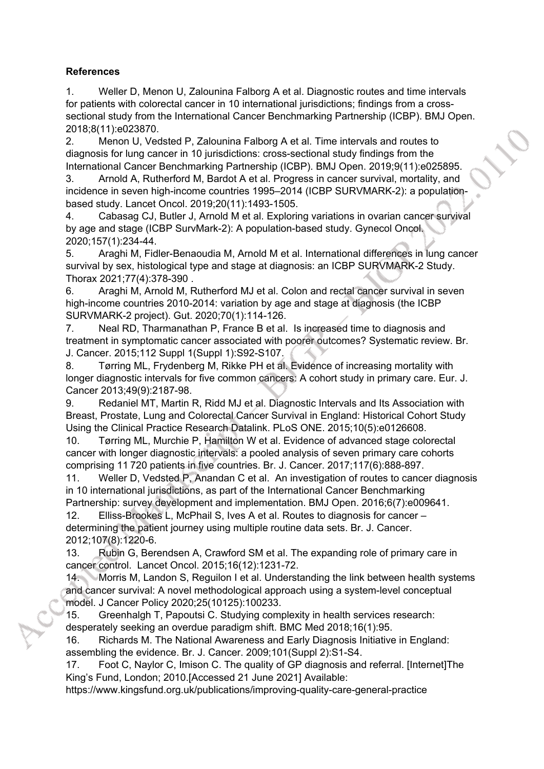## **References**

1. Weller D, Menon U, Zalounina Falborg A et al. Diagnostic routes and time intervals for patients with colorectal cancer in 10 international jurisdictions; findings from a crosssectional study from the International Cancer Benchmarking Partnership (ICBP). BMJ Open. 2018;8(11):e023870.

2. Menon U, Vedsted P, Zalounina Falborg A et al. Time intervals and routes to diagnosis for lung cancer in 10 jurisdictions: cross-sectional study findings from the International Cancer Benchmarking Partnership (ICBP). BMJ Open. 2019;9(11):e025895.

3. Arnold A, Rutherford M, Bardot A et al. Progress in cancer survival, mortality, and incidence in seven high-income countries 1995–2014 (ICBP SURVMARK-2): a populationbased study. Lancet Oncol. 2019;20(11):1493-1505.

4. Cabasag CJ, Butler J, Arnold M et al. Exploring variations in ovarian cancer survival by age and stage (ICBP SurvMark-2): A population-based study. Gynecol Oncol. 2020;157(1):234-44.

5. Araghi M, Fidler-Benaoudia M, Arnold M et al. International differences in lung cancer survival by sex, histological type and stage at diagnosis: an ICBP SURVMARK-2 Study. Thorax 2021;77(4):378-390 .

6. Araghi M, Arnold M, Rutherford MJ et al. Colon and rectal cancer survival in seven high-income countries 2010-2014: variation by age and stage at diagnosis (the ICBP SURVMARK-2 project). Gut. 2020;70(1):114-126.

7. Neal RD, Tharmanathan P, France B et al. Is increased time to diagnosis and treatment in symptomatic cancer associated with poorer outcomes? Systematic review. Br. J. Cancer. 2015;112 Suppl 1(Suppl 1):S92-S107.

8. Tørring ML, Frydenberg M, Rikke PH et al. Evidence of increasing mortality with longer diagnostic intervals for five common cancers: A cohort study in primary care. Eur. J. Cancer 2013;49(9):2187-98.

9. Redaniel MT, Martin R, Ridd MJ et al. Diagnostic Intervals and Its Association with Breast, Prostate, Lung and Colorectal Cancer Survival in England: Historical Cohort Study Using the Clinical Practice Research Datalink. PLoS ONE. 2015;10(5):e0126608.

10. Tørring ML, Murchie P, Hamilton W et al. Evidence of advanced stage colorectal cancer with longer diagnostic intervals: a pooled analysis of seven primary care cohorts comprising 11 720 patients in five countries. Br. J. Cancer. 2017;117(6):888-897.

11. Weller D, Vedsted P, Anandan C et al. An investigation of routes to cancer diagnosis in 10 international jurisdictions, as part of the International Cancer Benchmarking

Partnership: survey development and implementation. BMJ Open. 2016;6(7):e009641.

12. Elliss-Brookes L, McPhail S, Ives A et al. Routes to diagnosis for cancer – determining the patient journey using multiple routine data sets. Br. J. Cancer. 2012;107(8):1220-6.

13. Rubin G, Berendsen A, Crawford SM et al. The expanding role of primary care in cancer control. Lancet Oncol. 2015;16(12):1231-72.

14. Morris M, Landon S, Reguilon I et al. Understanding the link between health systems and cancer survival: A novel methodological approach using a system-level conceptual model. J Cancer Policy 2020;25(10125):100233.

15. Greenhalgh T, Papoutsi C. Studying complexity in health services research: desperately seeking an overdue paradigm shift. BMC Med 2018;16(1):95.

16. Richards M. The National Awareness and Early Diagnosis Initiative in England: assembling the evidence. Br. J. Cancer. 2009;101(Suppl 2):S1-S4.

17. Foot C, Naylor C, Imison C. The quality of GP diagnosis and referral. [Internet]The King's Fund, London; 2010.[Accessed 21 June 2021] Available:

https://www.kingsfund.org.uk/publications/improving-quality-care-general-practice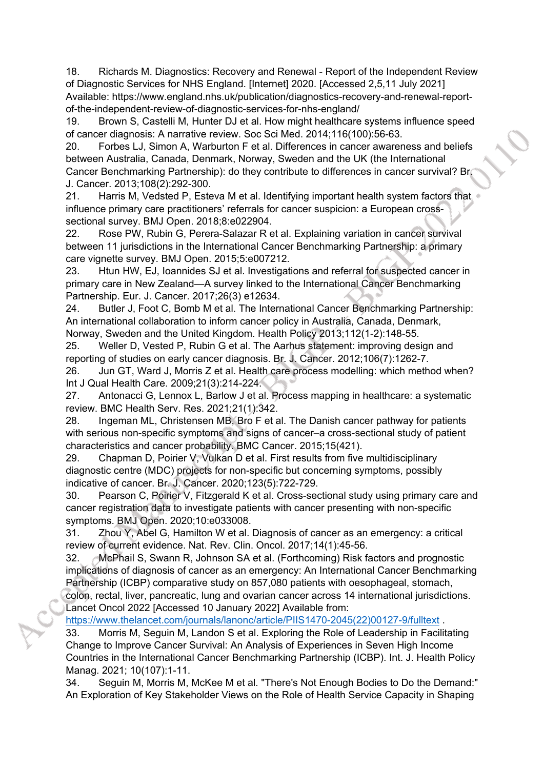18. Richards M. Diagnostics: Recovery and Renewal - Report of the Independent Review of Diagnostic Services for NHS England. [Internet] 2020. [Accessed 2,5,11 July 2021] Available: https://www.england.nhs.uk/publication/diagnostics-recovery-and-renewal-reportof-the-independent-review-of-diagnostic-services-for-nhs-england/

19. Brown S, Castelli M, Hunter DJ et al. How might healthcare systems influence speed of cancer diagnosis: A narrative review. Soc Sci Med. 2014;116(100):56-63.

20. Forbes LJ, Simon A, Warburton F et al. Differences in cancer awareness and beliefs between Australia, Canada, Denmark, Norway, Sweden and the UK (the International Cancer Benchmarking Partnership): do they contribute to differences in cancer survival? Br. J. Cancer. 2013;108(2):292-300.

21. Harris M, Vedsted P, Esteva M et al. Identifying important health system factors that influence primary care practitioners' referrals for cancer suspicion: a European crosssectional survey. BMJ Open. 2018;8:e022904.

22. Rose PW, Rubin G, Perera-Salazar R et al. Explaining variation in cancer survival between 11 jurisdictions in the International Cancer Benchmarking Partnership: a primary care vignette survey. BMJ Open. 2015;5:e007212.

23. Htun HW, EJ, Ioannides SJ et al. Investigations and referral for suspected cancer in primary care in New Zealand—A survey linked to the International Cancer Benchmarking Partnership. Eur. J. Cancer. 2017;26(3) e12634.

24. Butler J, Foot C, Bomb M et al. The International Cancer Benchmarking Partnership: An international collaboration to inform cancer policy in Australia, Canada, Denmark, Norway, Sweden and the United Kingdom. Health Policy 2013;112(1-2):148-55.

25. Weller D, Vested P, Rubin G et al. The Aarhus statement: improving design and reporting of studies on early cancer diagnosis. Br. J. Cancer. 2012;106(7):1262-7.

26. Jun GT, Ward J, Morris Z et al. Health care process modelling: which method when? Int J Qual Health Care. 2009;21(3):214-224.

27. Antonacci G, Lennox L, Barlow J et al. Process mapping in healthcare: a systematic review. BMC Health Serv. Res. 2021;21(1):342.

28. Ingeman ML, Christensen MB, Bro F et al. The Danish cancer pathway for patients with serious non-specific symptoms and signs of cancer–a cross-sectional study of patient characteristics and cancer probability. BMC Cancer. 2015;15(421).

29. Chapman D, Poirier V, Vulkan D et al. First results from five multidisciplinary diagnostic centre (MDC) projects for non-specific but concerning symptoms, possibly indicative of cancer. Br. J. Cancer. 2020;123(5):722-729.

30. Pearson C, Poirier V, Fitzgerald K et al. Cross-sectional study using primary care and cancer registration data to investigate patients with cancer presenting with non-specific symptoms. BMJ Open. 2020;10:e033008.

31. Zhou Y, Abel G, Hamilton W et al. Diagnosis of cancer as an emergency: a critical review of current evidence. Nat. Rev. Clin. Oncol. 2017;14(1):45-56.

32. McPhail S, Swann R, Johnson SA et al. (Forthcoming) Risk factors and prognostic implications of diagnosis of cancer as an emergency: An International Cancer Benchmarking Partnership (ICBP) comparative study on 857,080 patients with oesophageal, stomach,

colon, rectal, liver, pancreatic, lung and ovarian cancer across 14 international jurisdictions. Lancet Oncol 2022 [Accessed 10 January 2022] Available from:

[https://www.thelancet.com/journals/lanonc/article/PIIS1470-2045\(22\)00127-9/fulltext](https://www.thelancet.com/journals/lanonc/article/PIIS1470-2045(22)00127-9/fulltext)

33. Morris M, Seguin M, Landon S et al. Exploring the Role of Leadership in Facilitating Change to Improve Cancer Survival: An Analysis of Experiences in Seven High Income Countries in the International Cancer Benchmarking Partnership (ICBP). Int. J. Health Policy Manag. 2021; 10(107):1-11.

34. Seguin M, Morris M, McKee M et al. "There's Not Enough Bodies to Do the Demand:" An Exploration of Key Stakeholder Views on the Role of Health Service Capacity in Shaping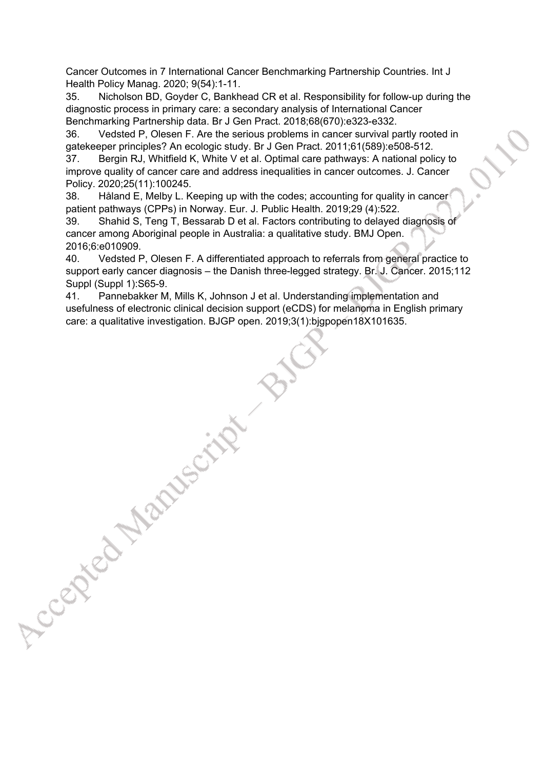Cancer Outcomes in 7 International Cancer Benchmarking Partnership Countries. Int J Health Policy Manag. 2020; 9(54):1-11.

35. Nicholson BD, Goyder C, Bankhead CR et al. Responsibility for follow-up during the diagnostic process in primary care: a secondary analysis of International Cancer Benchmarking Partnership data. Br J Gen Pract. 2018;68(670):e323-e332.

36. Vedsted P, Olesen F. Are the serious problems in cancer survival partly rooted in gatekeeper principles? An ecologic study. Br J Gen Pract. 2011;61(589):e508-512.

37. Bergin RJ, Whitfield K, White V et al. Optimal care pathways: A national policy to improve quality of cancer care and address inequalities in cancer outcomes. J. Cancer Policy. 2020;25(11):100245.

38. Håland E, Melby L. Keeping up with the codes; accounting for quality in cancer patient pathways (CPPs) in Norway. Eur. J. Public Health. 2019;29 (4):522.

39. Shahid S, Teng T, Bessarab D et al. Factors contributing to delayed diagnosis of cancer among Aboriginal people in Australia: a qualitative study. BMJ Open. 2016;6:e010909.

40. Vedsted P, Olesen F. A differentiated approach to referrals from general practice to support early cancer diagnosis – the Danish three-legged strategy. Br. J. Cancer. 2015;112 Suppl (Suppl 1):S65-9.

41. Pannebakker M, Mills K, Johnson J et al. Understanding implementation and usefulness of electronic clinical decision support (eCDS) for melanoma in English primary care: a qualitative investigation. BJGP open. 2019;3(1):bjgpopen18X101635.

Accepted Manuscript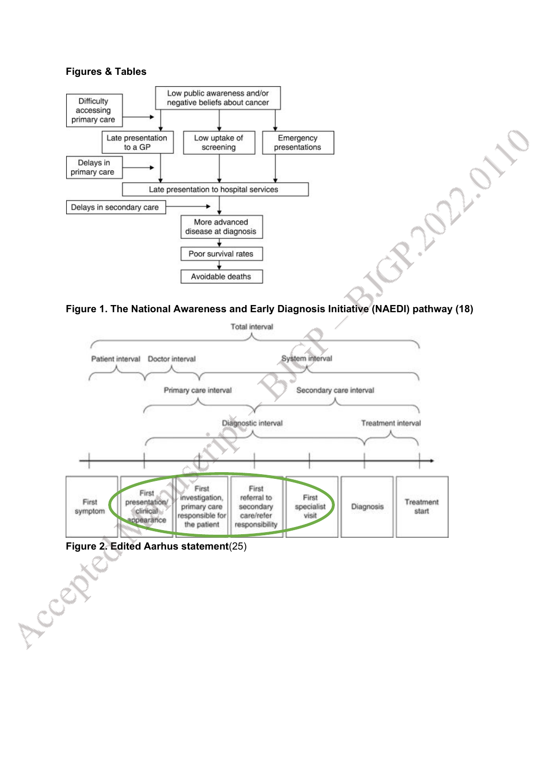#### **Figures & Tables**



**Figure 1. The National Awareness and Early Diagnosis Initiative (NAEDI) pathway (18)**

aniano



**Figure 2. Edited Aarhus statement**(25)

Accept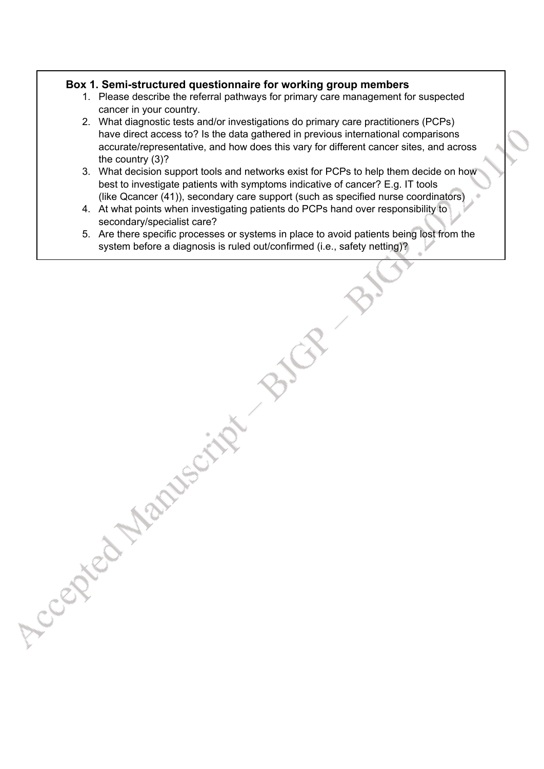## **Box 1. Semi-structured questionnaire for working group members**

Accepted Maryson's

- 1. Please describe the referral pathways for primary care management for suspected cancer in your country.
- 2. What diagnostic tests and/or investigations do primary care practitioners (PCPs) have direct access to? Is the data gathered in previous international comparisons accurate/representative, and how does this vary for different cancer sites, and across the country (3)?
- 3. What decision support tools and networks exist for PCPs to help them decide on how best to investigate patients with symptoms indicative of cancer? E.g. IT tools (like Qcancer (41)), secondary care support (such as specified nurse coordinators)
- 4. At what points when investigating patients do PCPs hand over responsibility to secondary/specialist care?
- 5. Are there specific processes or systems in place to avoid patients being lost from the system before a diagnosis is ruled out/confirmed (i.e., safety netting)?